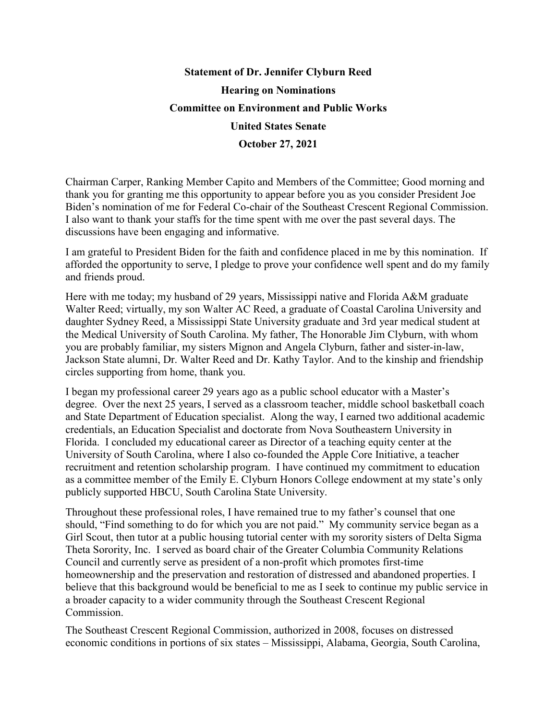## **Statement of Dr. Jennifer Clyburn Reed Hearing on Nominations Committee on Environment and Public Works United States Senate October 27, 2021**

Chairman Carper, Ranking Member Capito and Members of the Committee; Good morning and thank you for granting me this opportunity to appear before you as you consider President Joe Biden's nomination of me for Federal Co-chair of the Southeast Crescent Regional Commission. I also want to thank your staffs for the time spent with me over the past several days. The discussions have been engaging and informative.

I am grateful to President Biden for the faith and confidence placed in me by this nomination. If afforded the opportunity to serve, I pledge to prove your confidence well spent and do my family and friends proud.

Here with me today; my husband of 29 years, Mississippi native and Florida A&M graduate Walter Reed; virtually, my son Walter AC Reed, a graduate of Coastal Carolina University and daughter Sydney Reed, a Mississippi State University graduate and 3rd year medical student at the Medical University of South Carolina. My father, The Honorable Jim Clyburn, with whom you are probably familiar, my sisters Mignon and Angela Clyburn, father and sister-in-law, Jackson State alumni, Dr. Walter Reed and Dr. Kathy Taylor. And to the kinship and friendship circles supporting from home, thank you.

I began my professional career 29 years ago as a public school educator with a Master's degree. Over the next 25 years, I served as a classroom teacher, middle school basketball coach and State Department of Education specialist. Along the way, I earned two additional academic credentials, an Education Specialist and doctorate from Nova Southeastern University in Florida. I concluded my educational career as Director of a teaching equity center at the University of South Carolina, where I also co-founded the Apple Core Initiative, a teacher recruitment and retention scholarship program. I have continued my commitment to education as a committee member of the Emily E. Clyburn Honors College endowment at my state's only publicly supported HBCU, South Carolina State University.

Throughout these professional roles, I have remained true to my father's counsel that one should, "Find something to do for which you are not paid." My community service began as a Girl Scout, then tutor at a public housing tutorial center with my sorority sisters of Delta Sigma Theta Sorority, Inc. I served as board chair of the Greater Columbia Community Relations Council and currently serve as president of a non-profit which promotes first-time homeownership and the preservation and restoration of distressed and abandoned properties. I believe that this background would be beneficial to me as I seek to continue my public service in a broader capacity to a wider community through the Southeast Crescent Regional Commission.

The Southeast Crescent Regional Commission, authorized in 2008, focuses on distressed economic conditions in portions of six states – Mississippi, Alabama, Georgia, South Carolina,